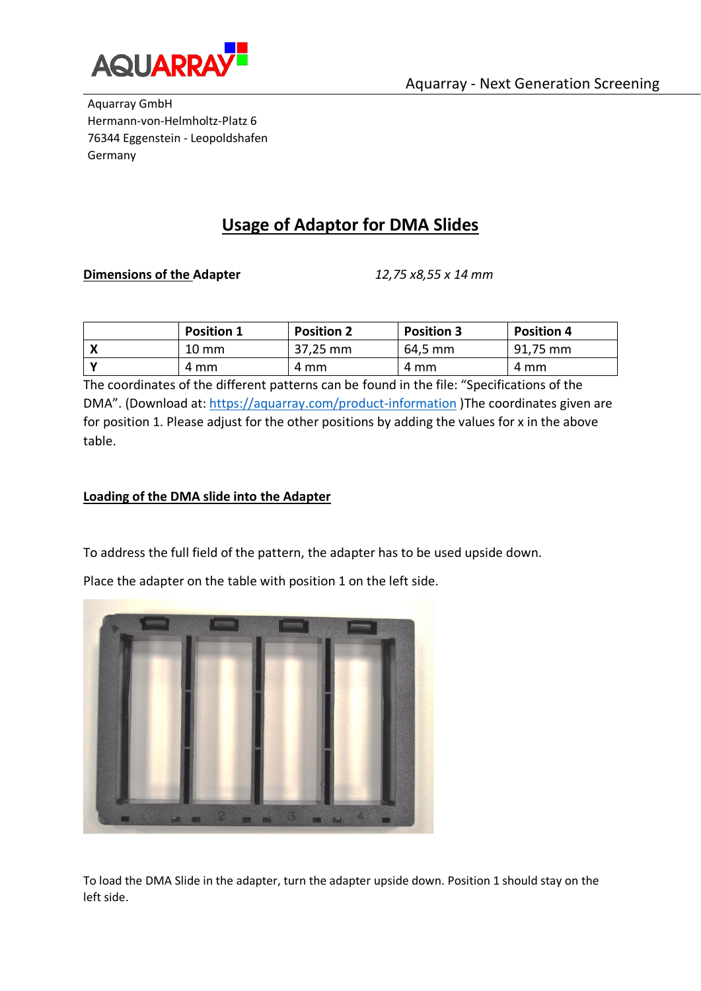

Aquarray GmbH Hermann-von-Helmholtz-Platz 6 76344 Eggenstein - Leopoldshafen Germany

# **Usage of Adaptor for DMA Slides**

#### **Dimensions of the Adapter** *12,75 x8,55 x 14 mm*

| <b>Position 1</b> | <b>Position 2</b> | <b>Position 3</b> | <b>Position 4</b> |
|-------------------|-------------------|-------------------|-------------------|
| $10 \text{ mm}$   | 37,25 mm          | 64,5 mm           | 91,75 mm          |
| 4 mm              | 4 mm              | 4 mm              | 4 mm              |

The coordinates of the different patterns can be found in the file: "Specifications of the DMA". (Download at:<https://aquarray.com/product-information> )The coordinates given are for position 1. Please adjust for the other positions by adding the values for x in the above table.

### **Loading of the DMA slide into the Adapter**

To address the full field of the pattern, the adapter has to be used upside down.

Place the adapter on the table with position 1 on the left side.



To load the DMA Slide in the adapter, turn the adapter upside down. Position 1 should stay on the left side.